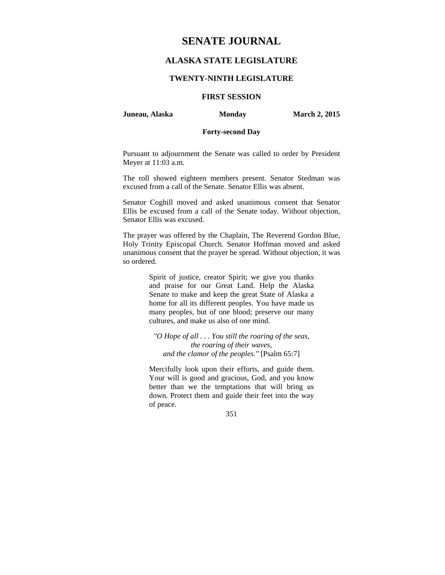# **SENATE JOURNAL**

### **ALASKA STATE LEGISLATURE**

#### **TWENTY-NINTH LEGISLATURE**

### **FIRST SESSION**

**Juneau, Alaska Monday March 2, 2015** 

#### **Forty-second Day**

Pursuant to adjournment the Senate was called to order by President Meyer at 11:03 a.m.

The roll showed eighteen members present. Senator Stedman was excused from a call of the Senate. Senator Ellis was absent.

Senator Coghill moved and asked unanimous consent that Senator Ellis be excused from a call of the Senate today. Without objection, Senator Ellis was excused.

The prayer was offered by the Chaplain, The Reverend Gordon Blue, Holy Trinity Episcopal Church. Senator Hoffman moved and asked unanimous consent that the prayer be spread. Without objection, it was so ordered.

> Spirit of justice, creator Spirit; we give you thanks and praise for our Great Land. Help the Alaska Senate to make and keep the great State of Alaska a home for all its different peoples. You have made us many peoples, but of one blood; preserve our many cultures, and make us also of one mind.

*"O Hope of all . . . You still the roaring of the seas, the roaring of their waves, and the clamor of the peoples."* [Psalm 65:7]

Mercifully look upon their efforts, and guide them. Your will is good and gracious, God, and you know better than we the temptations that will bring us down. Protect them and guide their feet into the way of peace.

351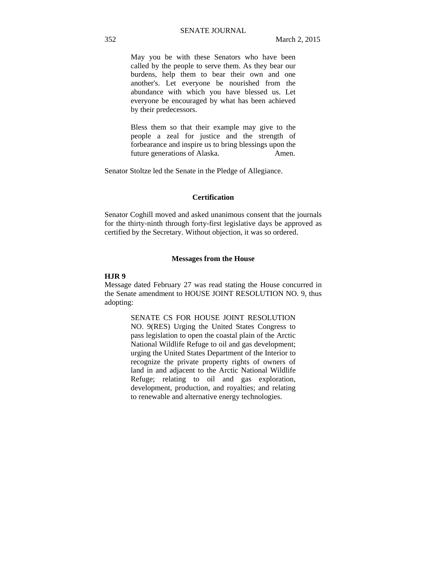May you be with these Senators who have been called by the people to serve them. As they bear our burdens, help them to bear their own and one another's. Let everyone be nourished from the abundance with which you have blessed us. Let everyone be encouraged by what has been achieved by their predecessors.

Bless them so that their example may give to the people a zeal for justice and the strength of forbearance and inspire us to bring blessings upon the future generations of Alaska. Amen.

Senator Stoltze led the Senate in the Pledge of Allegiance.

#### **Certification**

Senator Coghill moved and asked unanimous consent that the journals for the thirty-ninth through forty-first legislative days be approved as certified by the Secretary. Without objection, it was so ordered.

#### **Messages from the House**

#### **HJR 9**

Message dated February 27 was read stating the House concurred in the Senate amendment to HOUSE JOINT RESOLUTION NO. 9, thus adopting:

> SENATE CS FOR HOUSE JOINT RESOLUTION NO. 9(RES) Urging the United States Congress to pass legislation to open the coastal plain of the Arctic National Wildlife Refuge to oil and gas development; urging the United States Department of the Interior to recognize the private property rights of owners of land in and adjacent to the Arctic National Wildlife Refuge; relating to oil and gas exploration, development, production, and royalties; and relating to renewable and alternative energy technologies.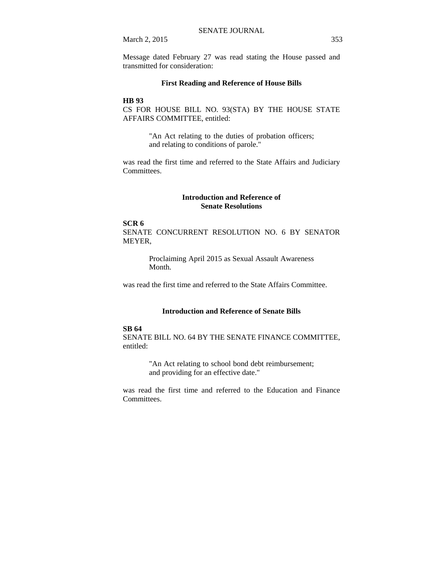March 2, 2015 353

Message dated February 27 was read stating the House passed and transmitted for consideration:

#### **First Reading and Reference of House Bills**

#### **HB 93**

CS FOR HOUSE BILL NO. 93(STA) BY THE HOUSE STATE AFFAIRS COMMITTEE, entitled:

> "An Act relating to the duties of probation officers; and relating to conditions of parole."

was read the first time and referred to the State Affairs and Judiciary Committees.

#### **Introduction and Reference of Senate Resolutions**

#### **SCR 6**

SENATE CONCURRENT RESOLUTION NO. 6 BY SENATOR MEYER,

> Proclaiming April 2015 as Sexual Assault Awareness Month.

was read the first time and referred to the State Affairs Committee.

### **Introduction and Reference of Senate Bills**

#### **SB 64**

SENATE BILL NO. 64 BY THE SENATE FINANCE COMMITTEE, entitled:

> "An Act relating to school bond debt reimbursement; and providing for an effective date."

was read the first time and referred to the Education and Finance Committees.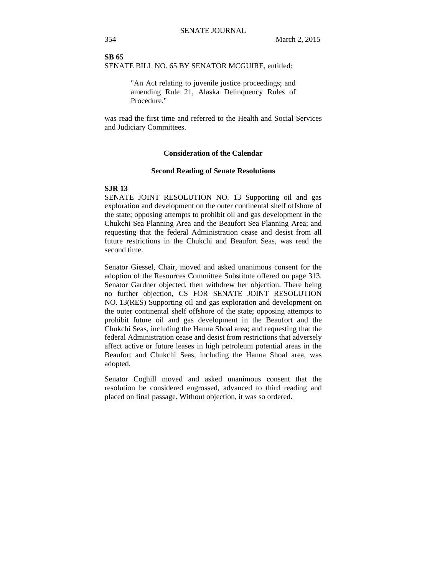**SB 65** SENATE BILL NO. 65 BY SENATOR MCGUIRE, entitled:

> "An Act relating to juvenile justice proceedings; and amending Rule 21, Alaska Delinquency Rules of Procedure."

was read the first time and referred to the Health and Social Services and Judiciary Committees.

#### **Consideration of the Calendar**

#### **Second Reading of Senate Resolutions**

#### **SJR 13**

SENATE JOINT RESOLUTION NO. 13 Supporting oil and gas exploration and development on the outer continental shelf offshore of the state; opposing attempts to prohibit oil and gas development in the Chukchi Sea Planning Area and the Beaufort Sea Planning Area; and requesting that the federal Administration cease and desist from all future restrictions in the Chukchi and Beaufort Seas, was read the second time.

Senator Giessel, Chair, moved and asked unanimous consent for the adoption of the Resources Committee Substitute offered on page 313. Senator Gardner objected, then withdrew her objection. There being no further objection, CS FOR SENATE JOINT RESOLUTION NO. 13(RES) Supporting oil and gas exploration and development on the outer continental shelf offshore of the state; opposing attempts to prohibit future oil and gas development in the Beaufort and the Chukchi Seas, including the Hanna Shoal area; and requesting that the federal Administration cease and desist from restrictions that adversely affect active or future leases in high petroleum potential areas in the Beaufort and Chukchi Seas, including the Hanna Shoal area, was adopted.

Senator Coghill moved and asked unanimous consent that the resolution be considered engrossed, advanced to third reading and placed on final passage. Without objection, it was so ordered.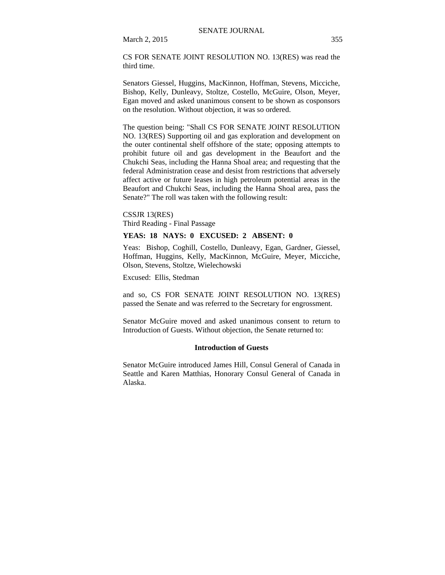March 2, 2015 355

CS FOR SENATE JOINT RESOLUTION NO. 13(RES) was read the third time.

Senators Giessel, Huggins, MacKinnon, Hoffman, Stevens, Micciche, Bishop, Kelly, Dunleavy, Stoltze, Costello, McGuire, Olson, Meyer, Egan moved and asked unanimous consent to be shown as cosponsors on the resolution. Without objection, it was so ordered.

The question being: "Shall CS FOR SENATE JOINT RESOLUTION NO. 13(RES) Supporting oil and gas exploration and development on the outer continental shelf offshore of the state; opposing attempts to prohibit future oil and gas development in the Beaufort and the Chukchi Seas, including the Hanna Shoal area; and requesting that the federal Administration cease and desist from restrictions that adversely affect active or future leases in high petroleum potential areas in the Beaufort and Chukchi Seas, including the Hanna Shoal area, pass the Senate?" The roll was taken with the following result:

CSSJR 13(RES) Third Reading - Final Passage

#### **YEAS: 18 NAYS: 0 EXCUSED: 2 ABSENT: 0**

Yeas: Bishop, Coghill, Costello, Dunleavy, Egan, Gardner, Giessel, Hoffman, Huggins, Kelly, MacKinnon, McGuire, Meyer, Micciche, Olson, Stevens, Stoltze, Wielechowski

Excused: Ellis, Stedman

and so, CS FOR SENATE JOINT RESOLUTION NO. 13(RES) passed the Senate and was referred to the Secretary for engrossment.

Senator McGuire moved and asked unanimous consent to return to Introduction of Guests. Without objection, the Senate returned to:

#### **Introduction of Guests**

Senator McGuire introduced James Hill, Consul General of Canada in Seattle and Karen Matthias, Honorary Consul General of Canada in Alaska.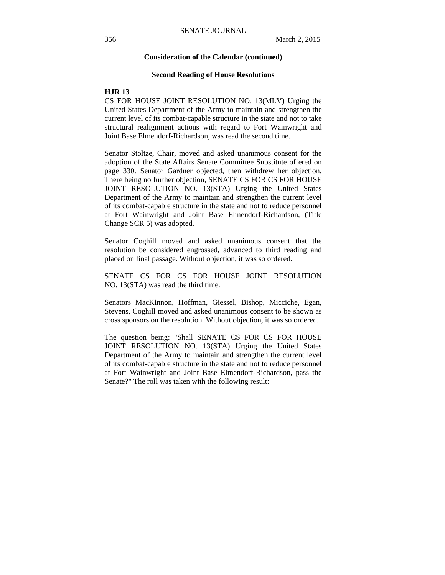#### **Consideration of the Calendar (continued)**

#### **Second Reading of House Resolutions**

#### **HJR 13**

CS FOR HOUSE JOINT RESOLUTION NO. 13(MLV) Urging the United States Department of the Army to maintain and strengthen the current level of its combat-capable structure in the state and not to take structural realignment actions with regard to Fort Wainwright and Joint Base Elmendorf-Richardson, was read the second time.

Senator Stoltze, Chair, moved and asked unanimous consent for the adoption of the State Affairs Senate Committee Substitute offered on page 330. Senator Gardner objected, then withdrew her objection. There being no further objection, SENATE CS FOR CS FOR HOUSE JOINT RESOLUTION NO. 13(STA) Urging the United States Department of the Army to maintain and strengthen the current level of its combat-capable structure in the state and not to reduce personnel at Fort Wainwright and Joint Base Elmendorf-Richardson, (Title Change SCR 5) was adopted.

Senator Coghill moved and asked unanimous consent that the resolution be considered engrossed, advanced to third reading and placed on final passage. Without objection, it was so ordered.

SENATE CS FOR CS FOR HOUSE JOINT RESOLUTION NO. 13(STA) was read the third time.

Senators MacKinnon, Hoffman, Giessel, Bishop, Micciche, Egan, Stevens, Coghill moved and asked unanimous consent to be shown as cross sponsors on the resolution. Without objection, it was so ordered.

The question being: "Shall SENATE CS FOR CS FOR HOUSE JOINT RESOLUTION NO. 13(STA) Urging the United States Department of the Army to maintain and strengthen the current level of its combat-capable structure in the state and not to reduce personnel at Fort Wainwright and Joint Base Elmendorf-Richardson, pass the Senate?" The roll was taken with the following result: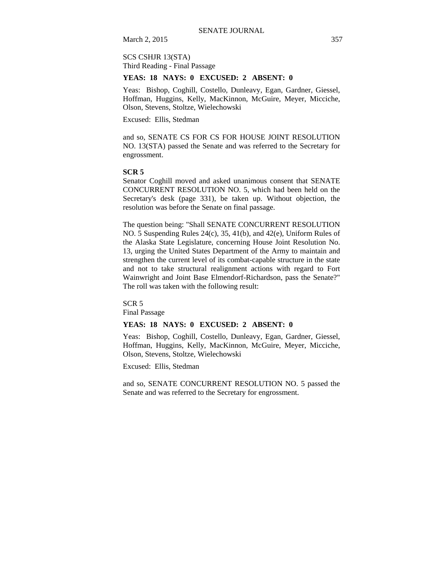March 2, 2015 357

### SCS CSHJR 13(STA) Third Reading - Final Passage

#### **YEAS: 18 NAYS: 0 EXCUSED: 2 ABSENT: 0**

Yeas: Bishop, Coghill, Costello, Dunleavy, Egan, Gardner, Giessel, Hoffman, Huggins, Kelly, MacKinnon, McGuire, Meyer, Micciche, Olson, Stevens, Stoltze, Wielechowski

Excused: Ellis, Stedman

and so, SENATE CS FOR CS FOR HOUSE JOINT RESOLUTION NO. 13(STA) passed the Senate and was referred to the Secretary for engrossment.

#### **SCR 5**

Senator Coghill moved and asked unanimous consent that SENATE CONCURRENT RESOLUTION NO. 5, which had been held on the Secretary's desk (page 331), be taken up. Without objection, the resolution was before the Senate on final passage.

The question being: "Shall SENATE CONCURRENT RESOLUTION NO. 5 Suspending Rules 24(c), 35, 41(b), and 42(e), Uniform Rules of the Alaska State Legislature, concerning House Joint Resolution No. 13, urging the United States Department of the Army to maintain and strengthen the current level of its combat-capable structure in the state and not to take structural realignment actions with regard to Fort Wainwright and Joint Base Elmendorf-Richardson, pass the Senate?" The roll was taken with the following result:

SCR 5 Final Passage

### **YEAS: 18 NAYS: 0 EXCUSED: 2 ABSENT: 0**

Yeas: Bishop, Coghill, Costello, Dunleavy, Egan, Gardner, Giessel, Hoffman, Huggins, Kelly, MacKinnon, McGuire, Meyer, Micciche, Olson, Stevens, Stoltze, Wielechowski

Excused: Ellis, Stedman

and so, SENATE CONCURRENT RESOLUTION NO. 5 passed the Senate and was referred to the Secretary for engrossment.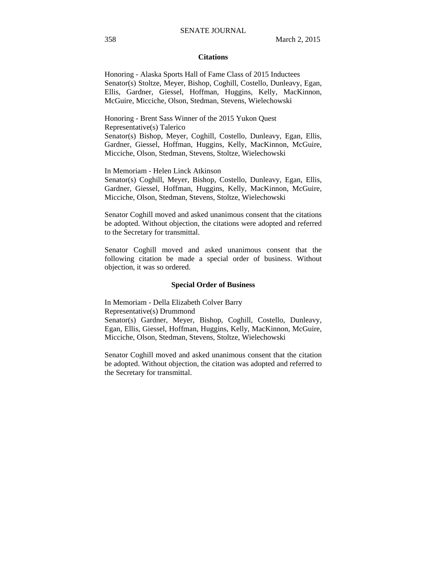#### **Citations**

Honoring - Alaska Sports Hall of Fame Class of 2015 Inductees Senator(s) Stoltze, Meyer, Bishop, Coghill, Costello, Dunleavy, Egan, Ellis, Gardner, Giessel, Hoffman, Huggins, Kelly, MacKinnon, McGuire, Micciche, Olson, Stedman, Stevens, Wielechowski

Honoring - Brent Sass Winner of the 2015 Yukon Quest Representative(s) Talerico Senator(s) Bishop, Meyer, Coghill, Costello, Dunleavy, Egan, Ellis, Gardner, Giessel, Hoffman, Huggins, Kelly, MacKinnon, McGuire, Micciche, Olson, Stedman, Stevens, Stoltze, Wielechowski

In Memoriam - Helen Linck Atkinson

Senator(s) Coghill, Meyer, Bishop, Costello, Dunleavy, Egan, Ellis, Gardner, Giessel, Hoffman, Huggins, Kelly, MacKinnon, McGuire, Micciche, Olson, Stedman, Stevens, Stoltze, Wielechowski

Senator Coghill moved and asked unanimous consent that the citations be adopted. Without objection, the citations were adopted and referred to the Secretary for transmittal.

Senator Coghill moved and asked unanimous consent that the following citation be made a special order of business. Without objection, it was so ordered.

#### **Special Order of Business**

In Memoriam - Della Elizabeth Colver Barry

Representative(s) Drummond

Senator(s) Gardner, Meyer, Bishop, Coghill, Costello, Dunleavy, Egan, Ellis, Giessel, Hoffman, Huggins, Kelly, MacKinnon, McGuire, Micciche, Olson, Stedman, Stevens, Stoltze, Wielechowski

Senator Coghill moved and asked unanimous consent that the citation be adopted. Without objection, the citation was adopted and referred to the Secretary for transmittal.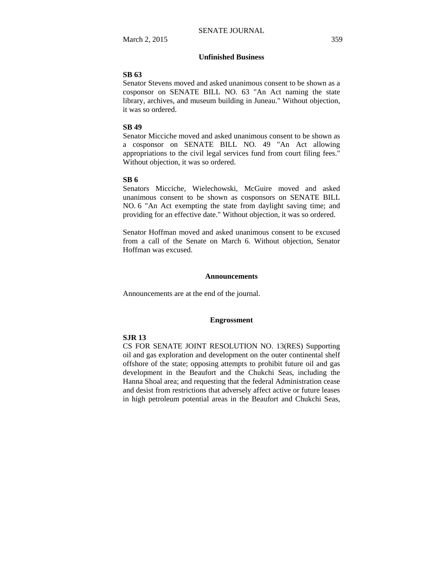### **Unfinished Business**

#### **SB 63**

Senator Stevens moved and asked unanimous consent to be shown as a cosponsor on SENATE BILL NO. 63 "An Act naming the state library, archives, and museum building in Juneau." Without objection, it was so ordered.

#### **SB 49**

Senator Micciche moved and asked unanimous consent to be shown as a cosponsor on SENATE BILL NO. 49 "An Act allowing appropriations to the civil legal services fund from court filing fees." Without objection, it was so ordered.

#### **SB 6**

Senators Micciche, Wielechowski, McGuire moved and asked unanimous consent to be shown as cosponsors on SENATE BILL NO. 6 "An Act exempting the state from daylight saving time; and providing for an effective date." Without objection, it was so ordered.

Senator Hoffman moved and asked unanimous consent to be excused from a call of the Senate on March 6. Without objection, Senator Hoffman was excused.

#### **Announcements**

Announcements are at the end of the journal.

#### **Engrossment**

#### **SJR 13**

CS FOR SENATE JOINT RESOLUTION NO. 13(RES) Supporting oil and gas exploration and development on the outer continental shelf offshore of the state; opposing attempts to prohibit future oil and gas development in the Beaufort and the Chukchi Seas, including the Hanna Shoal area; and requesting that the federal Administration cease and desist from restrictions that adversely affect active or future leases in high petroleum potential areas in the Beaufort and Chukchi Seas,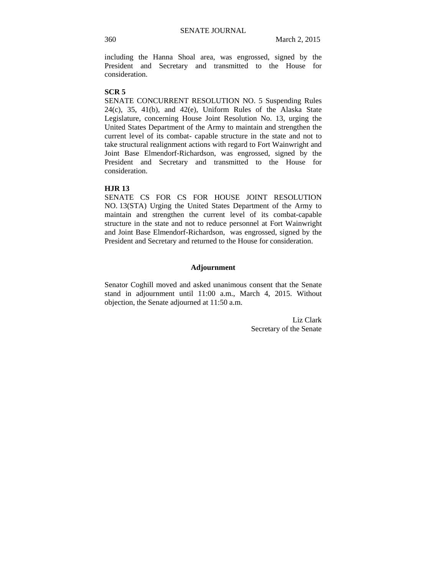including the Hanna Shoal area, was engrossed, signed by the President and Secretary and transmitted to the House for consideration.

#### **SCR 5**

SENATE CONCURRENT RESOLUTION NO. 5 Suspending Rules  $24(c)$ ,  $35$ ,  $41(b)$ , and  $42(e)$ , Uniform Rules of the Alaska State Legislature, concerning House Joint Resolution No. 13, urging the United States Department of the Army to maintain and strengthen the current level of its combat- capable structure in the state and not to take structural realignment actions with regard to Fort Wainwright and Joint Base Elmendorf-Richardson, was engrossed, signed by the President and Secretary and transmitted to the House for consideration.

#### **HJR 13**

SENATE CS FOR CS FOR HOUSE JOINT RESOLUTION NO. 13(STA) Urging the United States Department of the Army to maintain and strengthen the current level of its combat-capable structure in the state and not to reduce personnel at Fort Wainwright and Joint Base Elmendorf-Richardson, was engrossed, signed by the President and Secretary and returned to the House for consideration.

#### **Adjournment**

Senator Coghill moved and asked unanimous consent that the Senate stand in adjournment until 11:00 a.m., March 4, 2015. Without objection, the Senate adjourned at 11:50 a.m.

> Liz Clark Secretary of the Senate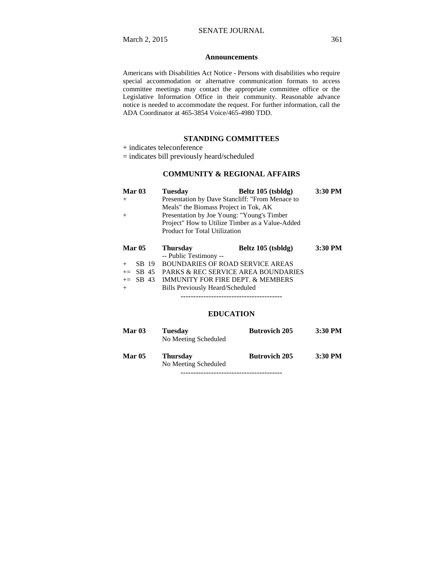#### **Announcements**

Americans with Disabilities Act Notice - Persons with disabilities who require special accommodation or alternative communication formats to access committee meetings may contact the appropriate committee office or the Legislative Information Office in their community. Reasonable advance notice is needed to accommodate the request. For further information, call the ADA Coordinator at 465-3854 Voice/465-4980 TDD.

#### **STANDING COMMITTEES**

+ indicates teleconference

= indicates bill previously heard/scheduled

### **COMMUNITY & REGIONAL AFFAIRS**

| Mar <sub>03</sub> | <b>Tuesday</b>                                  | Beltz 105 (tsbldg)                              | 3:30 PM |
|-------------------|-------------------------------------------------|-------------------------------------------------|---------|
| $^{+}$            | Presentation by Dave Stancliff: "From Menace to |                                                 |         |
|                   | Meals" the Biomass Project in Tok, AK           |                                                 |         |
| $^{+}$            |                                                 | Presentation by Joe Young: "Young's Timber      |         |
|                   |                                                 | Project" How to Utilize Timber as a Value-Added |         |
|                   | Product for Total Utilization                   |                                                 |         |
|                   |                                                 |                                                 |         |
|                   |                                                 |                                                 |         |
| <b>Mar 05</b>     | <b>Thursday</b>                                 | Beltz 105 (tsbldg)                              | 3:30 PM |
|                   | -- Public Testimony --                          |                                                 |         |
| SB 19<br>$^{+}$   |                                                 | <b>BOUNDARIES OF ROAD SERVICE AREAS</b>         |         |
| $+=$ SB 45        |                                                 | <b>PARKS &amp; REC SERVICE AREA BOUNDARIES</b>  |         |
| $+=$ SB 43        |                                                 | IMMUNITY FOR FIRE DEPT. & MEMBERS               |         |

----------------------------------------

### **EDUCATION**

| Mar $03$      | <b>Tuesday</b><br>No Meeting Scheduled  | <b>Butrovich 205</b> | $3:30$ PM |
|---------------|-----------------------------------------|----------------------|-----------|
| <b>Mar 05</b> | <b>Thursday</b><br>No Meeting Scheduled | <b>Butrovich 205</b> | $3:30$ PM |

----------------------------------------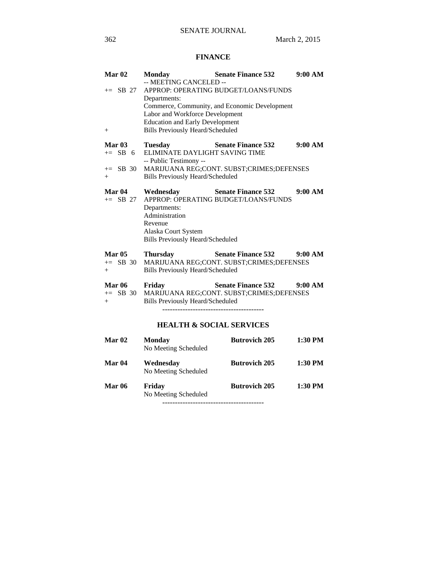# **FINANCE**

| Mar <sub>02</sub><br>$+=$ SB 27<br>$^{+}$       | <b>Monday</b><br>-- MEETING CANCELED --<br>Departments:<br>Labor and Workforce Development<br><b>Education and Early Development</b><br><b>Bills Previously Heard/Scheduled</b> | <b>Senate Finance 532</b><br>APPROP: OPERATING BUDGET/LOANS/FUNDS<br>Commerce, Community, and Economic Development | 9:00 AM |
|-------------------------------------------------|---------------------------------------------------------------------------------------------------------------------------------------------------------------------------------|--------------------------------------------------------------------------------------------------------------------|---------|
| <b>Mar 03</b><br>$+=$ SB 6<br>$+=$ SB 30<br>$+$ | <b>Tuesday</b><br>ELIMINATE DAYLIGHT SAVING TIME<br>-- Public Testimony --<br><b>Bills Previously Heard/Scheduled</b>                                                           | <b>Senate Finance 532</b><br>MARIJUANA REG;CONT. SUBST;CRIMES;DEFENSES                                             | 9:00 AM |
| Mar 04<br>$+=$ SB 27                            | Wednesday<br>Departments:<br>Administration<br>Revenue<br>Alaska Court System<br><b>Bills Previously Heard/Scheduled</b>                                                        | <b>Senate Finance 532</b><br>APPROP: OPERATING BUDGET/LOANS/FUNDS                                                  | 9:00 AM |
| <b>Mar 05</b><br>$+=$ SB 30<br>$+$              | <b>Thursday</b><br><b>Bills Previously Heard/Scheduled</b>                                                                                                                      | <b>Senate Finance 532</b><br>MARIJUANA REG;CONT. SUBST;CRIMES;DEFENSES                                             | 9:00 AM |
| <b>Mar 06</b><br>$+=$ SB 30<br>$^{+}$           | Friday<br><b>Bills Previously Heard/Scheduled</b>                                                                                                                               | <b>Senate Finance 532</b><br>MARIJUANA REG;CONT. SUBST;CRIMES;DEFENSES                                             | 9:00 AM |
|                                                 | <b>HEALTH &amp; SOCIAL SERVICES</b>                                                                                                                                             |                                                                                                                    |         |
| Mar <sub>02</sub>                               | <b>Monday</b><br>No Meeting Scheduled                                                                                                                                           | <b>Butrovich 205</b>                                                                                               | 1:30 PM |
| Mar <sub>04</sub>                               | Wednesday<br>No Meeting Scheduled                                                                                                                                               | <b>Butrovich 205</b>                                                                                               | 1:30 PM |
| <b>Mar 06</b>                                   | Friday<br>No Meeting Scheduled                                                                                                                                                  | <b>Butrovich 205</b>                                                                                               | 1:30 PM |

----------------------------------------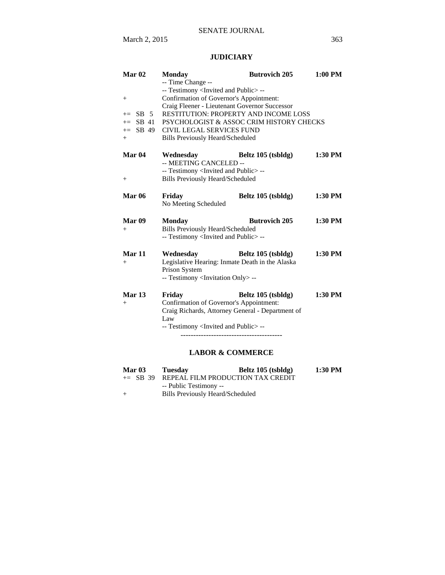# **JUDICIARY**

| Mar <sub>02</sub>                                                 | <b>Monday</b>                                                                                                                                                                                                                                                                                                                                      | <b>Butrovich 205</b> | 1:00 PM   |  |  |
|-------------------------------------------------------------------|----------------------------------------------------------------------------------------------------------------------------------------------------------------------------------------------------------------------------------------------------------------------------------------------------------------------------------------------------|----------------------|-----------|--|--|
| $^{+}$<br>$SB$ 5<br>$+=$<br>SB 41<br>$+=$<br>$+=$ SB 49<br>$^{+}$ | -- Time Change --<br>-- Testimony <invited and="" public="">--<br/>Confirmation of Governor's Appointment:<br/>Craig Fleener - Lieutenant Governor Successor<br/>RESTITUTION: PROPERTY AND INCOME LOSS<br/>PSYCHOLOGIST &amp; ASSOC CRIM HISTORY CHECKS<br/><b>CIVIL LEGAL SERVICES FUND</b><br/><b>Bills Previously Heard/Scheduled</b></invited> |                      |           |  |  |
| Mar <sub>04</sub><br>$+$                                          | Wednesday<br>-- MEETING CANCELED --<br>-- Testimony <invited and="" public="">--<br/><b>Bills Previously Heard/Scheduled</b></invited>                                                                                                                                                                                                             | Beltz 105 (tsbldg)   | 1:30 PM   |  |  |
| <b>Mar 06</b>                                                     | Friday<br>No Meeting Scheduled                                                                                                                                                                                                                                                                                                                     | Beltz 105 (tsbldg)   | $1:30$ PM |  |  |
| Mar <sub>09</sub><br>$^{+}$                                       | <b>Monday</b><br><b>Bills Previously Heard/Scheduled</b><br>-- Testimony <invited and="" public="">--</invited>                                                                                                                                                                                                                                    | <b>Butrovich 205</b> | $1:30$ PM |  |  |
| Mar 11<br>$^{+}$                                                  | Wednesday<br>Legislative Hearing: Inmate Death in the Alaska<br>Prison System<br>-- Testimony <invitation only=""> --</invitation>                                                                                                                                                                                                                 | Beltz 105 (tsbldg)   | 1:30 PM   |  |  |
| <b>Mar 13</b><br>$^{+}$                                           | Friday<br>Confirmation of Governor's Appointment:<br>Craig Richards, Attorney General - Department of<br>Law<br>-- Testimony <invited and="" public="">--</invited>                                                                                                                                                                                | Beltz 105 (tsbldg)   | 1:30 PM   |  |  |

# **LABOR & COMMERCE**

| Mar $03$ | Tuesday                          | Beltz 105 (tsbldg)                           | 1:30 PM |
|----------|----------------------------------|----------------------------------------------|---------|
|          |                                  | $+=$ SB 39 REPEAL FILM PRODUCTION TAX CREDIT |         |
|          | -- Public Testimony --           |                                              |         |
| $+$      | Bills Previously Heard/Scheduled |                                              |         |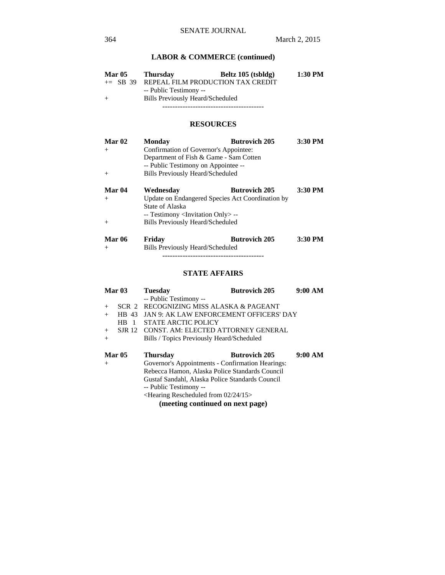### **LABOR & COMMERCE (continued)**

| <b>Mar 05</b> | <b>Thursday</b>        | Beltz 105 (tsbldg)                           | 1:30 PM |
|---------------|------------------------|----------------------------------------------|---------|
|               |                        | $+=$ SB 39 REPEAL FILM PRODUCTION TAX CREDIT |         |
|               | -- Public Testimony -- |                                              |         |
| $^{+}$        |                        | Bills Previously Heard/Scheduled             |         |
|               |                        |                                              |         |

### **RESOURCES**

| <b>Mar 02</b><br>$+$      | <b>Monday</b><br>Confirmation of Governor's Appointee:<br>Department of Fish & Game - Sam Cotten<br>-- Public Testimony on Appointee -- | <b>Butrovich 205</b> | 3:30 PM   |
|---------------------------|-----------------------------------------------------------------------------------------------------------------------------------------|----------------------|-----------|
| $+$                       | <b>Bills Previously Heard/Scheduled</b>                                                                                                 |                      |           |
| Mar <sub>04</sub><br>$+$  | Wednesdav<br>Update on Endangered Species Act Coordination by<br>State of Alaska                                                        | <b>Butrovich 205</b> | 3:30 PM   |
| $+$                       | -- Testimony <invitation only=""> --<br/><b>Bills Previously Heard/Scheduled</b></invitation>                                           |                      |           |
| $\mathbf{M} = \mathbf{M}$ | <b>The Post Company</b>                                                                                                                 | $D_{-4}$ $\cdot$ And | 9.90 DN F |

**Mar 06 Friday Butrovich 205 3:30 PM**  + Bills Previously Heard/Scheduled ----------------------------------------

### **STATE AFFAIRS**

|        | Mar <sub>03</sub>                | <b>Tuesday</b>                                               | <b>Butrovich 205</b> | 9:00 AM |
|--------|----------------------------------|--------------------------------------------------------------|----------------------|---------|
|        |                                  | -- Public Testimony --                                       |                      |         |
| $+$    |                                  | SCR 2 RECOGNIZING MISS ALASKA & PAGEANT                      |                      |         |
| $+$    | HB 43                            | JAN 9: AK LAW ENFORCEMENT OFFICERS' DAY                      |                      |         |
|        | H <sub>R</sub><br>$\blacksquare$ | STATE ARCTIC POLICY                                          |                      |         |
| $+$    |                                  | SJR 12 CONST. AM: ELECTED ATTORNEY GENERAL                   |                      |         |
| $^{+}$ |                                  | Bills / Topics Previously Heard/Scheduled                    |                      |         |
|        |                                  |                                                              |                      |         |
|        | <b>Mar 05</b>                    | <b>Thursday</b>                                              | <b>Butrovich 205</b> | 9:00 AM |
| $+$    |                                  | Governor's Appointments - Confirmation Hearings:             |                      |         |
|        |                                  | Rebecca Hamon, Alaska Police Standards Council               |                      |         |
|        |                                  | Gustaf Sandahl, Alaska Police Standards Council              |                      |         |
|        |                                  | -- Public Testimony --                                       |                      |         |
|        |                                  | <hearing 02="" 15="" 24="" from="" rescheduled=""></hearing> |                      |         |
|        |                                  | $(m \cdot \text{atim } \alpha \cdot \text{atim } \alpha)$    |                      |         |

**(meeting continued on next page)**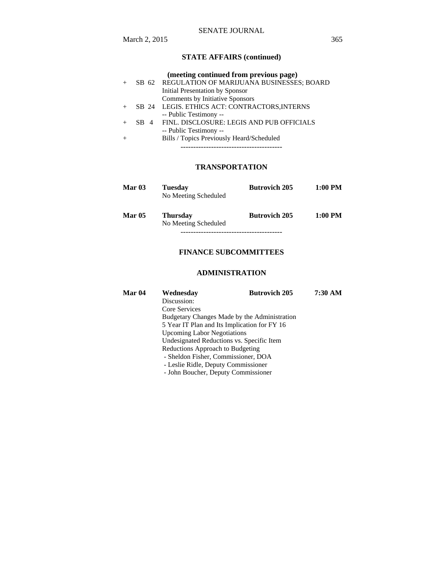# **STATE AFFAIRS (continued)**

|  | (meeting continued from previous page)          |
|--|-------------------------------------------------|
|  | SB 62 REGULATION OF MARIJUANA BUSINESSES; BOARD |
|  | Initial Presentation by Sponsor                 |
|  | Comments by Initiative Sponsors                 |
|  | SB 24 LEGIS. ETHICS ACT: CONTRACTORS, INTERNS   |
|  | -- Public Testimony --                          |
|  | SB 4 FINL, DISCLOSURE: LEGIS AND PUB OFFICIALS  |
|  | -- Public Testimony --                          |
|  | Bills / Topics Previously Heard/Scheduled       |
|  |                                                 |

### **TRANSPORTATION**

| Mar $03$      | <b>Tuesday</b><br>No Meeting Scheduled  | <b>Butrovich 205</b> | $1:00$ PM |  |  |
|---------------|-----------------------------------------|----------------------|-----------|--|--|
| <b>Mar 05</b> | <b>Thursday</b><br>No Meeting Scheduled | <b>Butrovich 205</b> | $1:00$ PM |  |  |
|               |                                         |                      |           |  |  |

# **FINANCE SUBCOMMITTEES**

### **ADMINISTRATION**

| <b>Mar 04</b> | Wednesday                                    | <b>Butrovich 205</b> | 7:30 AM |  |
|---------------|----------------------------------------------|----------------------|---------|--|
|               | Discussion:                                  |                      |         |  |
|               | Core Services                                |                      |         |  |
|               | Budgetary Changes Made by the Administration |                      |         |  |
|               | 5 Year IT Plan and Its Implication for FY 16 |                      |         |  |
|               | <b>Upcoming Labor Negotiations</b>           |                      |         |  |
|               | Undesignated Reductions vs. Specific Item    |                      |         |  |
|               | Reductions Approach to Budgeting             |                      |         |  |
|               | - Sheldon Fisher, Commissioner, DOA          |                      |         |  |
|               | - Leslie Ridle, Deputy Commissioner          |                      |         |  |
|               | - John Boucher, Deputy Commissioner          |                      |         |  |
|               |                                              |                      |         |  |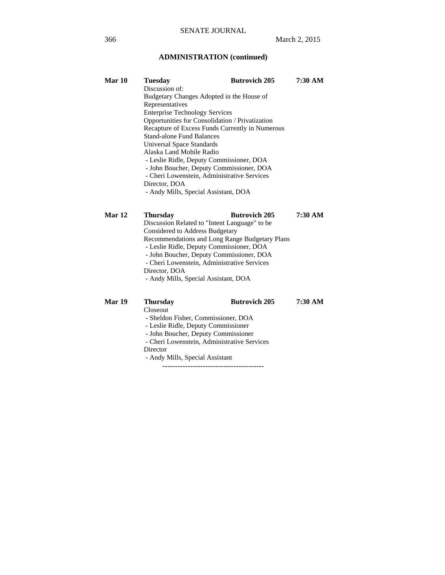# **ADMINISTRATION (continued)**

| Mar 10        | Tuesday                                                                          | <b>Butrovich 205</b> | 7:30 AM |  |  |
|---------------|----------------------------------------------------------------------------------|----------------------|---------|--|--|
|               | Discussion of:                                                                   |                      |         |  |  |
|               | Budgetary Changes Adopted in the House of                                        |                      |         |  |  |
|               | Representatives                                                                  |                      |         |  |  |
|               | <b>Enterprise Technology Services</b>                                            |                      |         |  |  |
|               | Opportunities for Consolidation / Privatization                                  |                      |         |  |  |
|               | Recapture of Excess Funds Currently in Numerous                                  |                      |         |  |  |
|               | <b>Stand-alone Fund Balances</b>                                                 |                      |         |  |  |
|               | <b>Universal Space Standards</b>                                                 |                      |         |  |  |
|               | Alaska Land Mobile Radio                                                         |                      |         |  |  |
|               | - Leslie Ridle, Deputy Commissioner, DOA                                         |                      |         |  |  |
|               | - John Boucher, Deputy Commissioner, DOA                                         |                      |         |  |  |
|               | - Cheri Lowenstein, Administrative Services                                      |                      |         |  |  |
|               | Director, DOA                                                                    |                      |         |  |  |
|               | - Andy Mills, Special Assistant, DOA                                             |                      |         |  |  |
| <b>Mar 12</b> | <b>Thursday</b>                                                                  | <b>Butrovich 205</b> | 7:30 AM |  |  |
|               |                                                                                  |                      |         |  |  |
|               | Discussion Related to "Intent Language" to be<br>Considered to Address Budgetary |                      |         |  |  |
|               | Recommendations and Long Range Budgetary Plans                                   |                      |         |  |  |
|               | - Leslie Ridle, Deputy Commissioner, DOA                                         |                      |         |  |  |
|               | - John Boucher, Deputy Commissioner, DOA                                         |                      |         |  |  |
|               | - Cheri Lowenstein, Administrative Services                                      |                      |         |  |  |
|               | Director, DOA                                                                    |                      |         |  |  |
|               | - Andy Mills, Special Assistant, DOA                                             |                      |         |  |  |
|               |                                                                                  |                      |         |  |  |
| Mar 19        | Thursday                                                                         | <b>Butrovich 205</b> | 7:30 AM |  |  |

Closeout

- Sheldon Fisher, Commissioner, DOA
- Leslie Ridle, Deputy Commissioner
	- John Boucher, Deputy Commissioner
	- Cheri Lowenstein, Administrative Services
	- Director
	- Andy Mills, Special Assistant
		- ----------------------------------------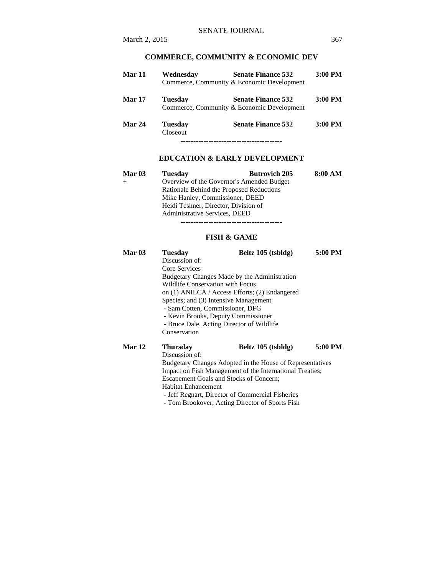| Mar 11        | Wednesdav                         | <b>Senate Finance 532</b><br>Commerce, Community & Economic Development | $3:00$ PM |
|---------------|-----------------------------------|-------------------------------------------------------------------------|-----------|
| <b>Mar 17</b> | <b>Tuesday</b>                    | <b>Senate Finance 532</b><br>Commerce, Community & Economic Development | $3:00$ PM |
| Mar 24        | <b>Tuesday</b><br><b>Closeout</b> | <b>Senate Finance 532</b>                                               | $3:00$ PM |
|               |                                   |                                                                         |           |

### **EDUCATION & EARLY DEVELOPMENT**

| Mar $03$ | <b>Tuesday</b>                            | <b>Butrovich 205</b> | 8:00 AM |
|----------|-------------------------------------------|----------------------|---------|
|          | Overview of the Governor's Amended Budget |                      |         |
|          | Rationale Behind the Proposed Reductions  |                      |         |
|          | Mike Hanley, Commissioner, DEED           |                      |         |
|          | Heidi Teshner, Director, Division of      |                      |         |
|          | Administrative Services, DEED             |                      |         |

----------------------------------------

### **FISH & GAME**

| Mar $03$ | Tuesday                                                   | Beltz 105 (tsbldg)                             | 5:00 PM |  |
|----------|-----------------------------------------------------------|------------------------------------------------|---------|--|
|          | Discussion of:                                            |                                                |         |  |
|          | Core Services                                             |                                                |         |  |
|          |                                                           | Budgetary Changes Made by the Administration   |         |  |
|          | <b>Wildlife Conservation with Focus</b>                   |                                                |         |  |
|          |                                                           | on (1) ANILCA / Access Efforts; (2) Endangered |         |  |
|          | Species; and (3) Intensive Management                     |                                                |         |  |
|          | - Sam Cotten, Commissioner, DFG                           |                                                |         |  |
|          | - Kevin Brooks, Deputy Commissioner                       |                                                |         |  |
|          | - Bruce Dale, Acting Director of Wildlife                 |                                                |         |  |
|          | Conservation                                              |                                                |         |  |
| Mar 12   | <b>Thursday</b>                                           | Beltz 105 (tsbldg)                             | 5:00 PM |  |
|          | Discussion of:                                            |                                                |         |  |
|          | Budgetary Changes Adopted in the House of Representatives |                                                |         |  |
|          | Impact on Fish Management of the International Treaties;  |                                                |         |  |
|          | Escapement Goals and Stocks of Concern;                   |                                                |         |  |
|          | <b>Habitat Enhancement</b>                                |                                                |         |  |
|          | - Jeff Regnart, Director of Commercial Fisheries          |                                                |         |  |
|          | - Tom Brookover, Acting Director of Sports Fish           |                                                |         |  |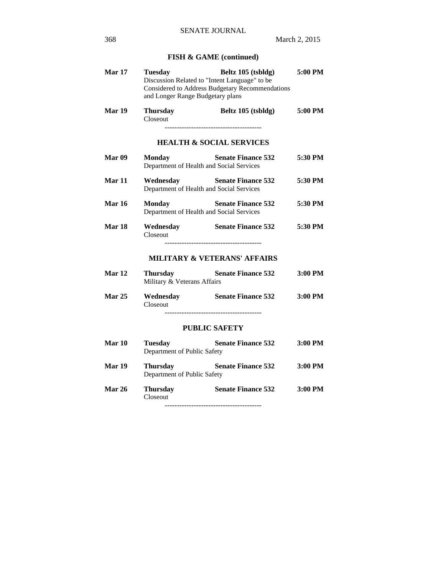# **FISH & GAME (continued)**

| Mar 17        | <b>Tuesday</b><br>Discussion Related to "Intent Language" to be<br>and Longer Range Budgetary plans | Beltz 105 (tsbldg)<br>Considered to Address Budgetary Recommendations | 5:00 PM |
|---------------|-----------------------------------------------------------------------------------------------------|-----------------------------------------------------------------------|---------|
| Mar 19        | <b>Thursday</b><br>Closeout                                                                         | Beltz 105 (tsbldg)                                                    | 5:00 PM |
|               |                                                                                                     | <b>HEALTH &amp; SOCIAL SERVICES</b>                                   |         |
| <b>Mar 09</b> | <b>Monday</b><br>Department of Health and Social Services                                           | <b>Senate Finance 532</b>                                             | 5:30 PM |
| Mar 11        | Wednesday<br>Department of Health and Social Services                                               | <b>Senate Finance 532</b>                                             | 5:30 PM |
| <b>Mar 16</b> | <b>Monday</b><br>Department of Health and Social Services                                           | <b>Senate Finance 532</b>                                             | 5:30 PM |
| <b>Mar 18</b> | Wednesday<br><b>Closeout</b>                                                                        | <b>Senate Finance 532</b>                                             | 5:30 PM |
|               |                                                                                                     | <b>MILITARY &amp; VETERANS' AFFAIRS</b>                               |         |
| Mar 12        | <b>Thursday</b><br>Military & Veterans Affairs                                                      | <b>Senate Finance 532</b>                                             | 3:00 PM |
| <b>Mar 25</b> | Wednesday Senate Finance 532<br>Closeout                                                            |                                                                       | 3:00 PM |
|               |                                                                                                     | <b>PUBLIC SAFETY</b>                                                  |         |
| Mar 10        | <b>Tuesday</b><br>Department of Public Safety                                                       | <b>Senate Finance 532</b>                                             | 3:00 PM |
| <b>Mar 19</b> | <b>Thursday</b><br>Department of Public Safety                                                      | <b>Senate Finance 532</b>                                             | 3:00 PM |
| Mar 26        | <b>Thursday</b><br>Closeout                                                                         | <b>Senate Finance 532</b>                                             | 3:00 PM |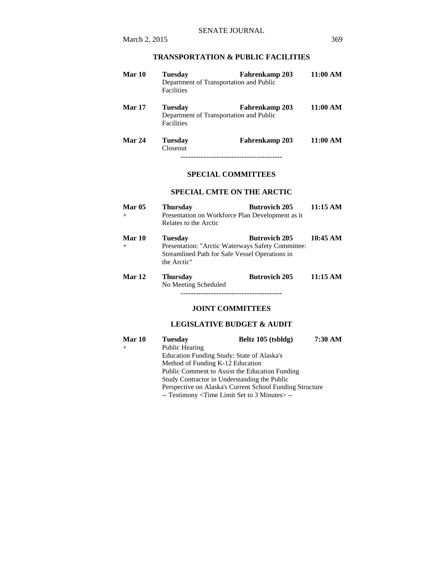# **TRANSPORTATION & PUBLIC FACILITIES**

| Mar 10        | <b>Tuesday</b><br><b>Facilities</b> | <b>Fahrenkamp 203</b><br>Department of Transportation and Public | 11:00 AM |
|---------------|-------------------------------------|------------------------------------------------------------------|----------|
| <b>Mar 17</b> | Tuesdav<br><b>Facilities</b>        | <b>Fahrenkamp 203</b><br>Department of Transportation and Public | 11:00 AM |
| Mar 24        | <b>Tuesday</b><br>Closeout          | Fahrenkamp 203                                                   | 11:00 AM |

----------------------------------------

### **SPECIAL COMMITTEES**

### **SPECIAL CMTE ON THE ARCTIC**

| <b>Mar 05</b><br>$+$ | <b>Thursday</b><br>Presentation on Workforce Plan Development as it<br>Relates to the Arctic                                         | <b>Butrovich 205</b> | 11:15 AM |
|----------------------|--------------------------------------------------------------------------------------------------------------------------------------|----------------------|----------|
| <b>Mar 10</b><br>$+$ | <b>Tuesday</b><br>Presentation: "Arctic Waterways Safety Committee:<br>Streamlined Path for Safe Vessel Operations in<br>the Arctic" | <b>Butrovich 205</b> | 10:45 AM |
| <b>Mar 12</b>        | <b>Thursday</b><br>No Meeting Scheduled                                                                                              | <b>Butrovich 205</b> | 11:15 AM |

### **JOINT COMMITTEES**

# **LEGISLATIVE BUDGET & AUDIT**

| Mar 10 | <b>Tuesday</b>                                           | Beltz 105 (tsbldg)                              | 7:30 AM |
|--------|----------------------------------------------------------|-------------------------------------------------|---------|
| $+$    | Public Hearing                                           |                                                 |         |
|        |                                                          | Education Funding Study: State of Alaska's      |         |
|        | Method of Funding K-12 Education                         |                                                 |         |
|        |                                                          | Public Comment to Assist the Education Funding  |         |
|        |                                                          | Study Contractor in Understanding the Public    |         |
|        | Perspective on Alaska's Current School Funding Structure |                                                 |         |
|        |                                                          | -- Testimony < Time Limit Set to 3 Minutes > -- |         |